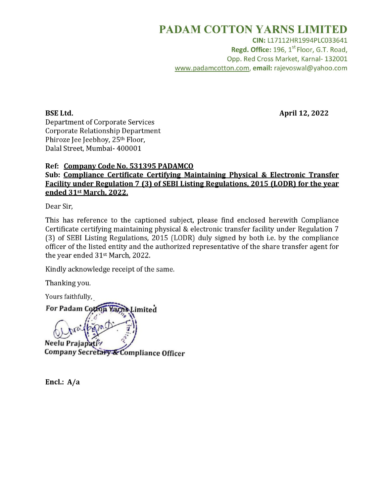## PADAM COTTON YARNS LIMITED

CIN: L17112HR1994PLC033641 Regd. Office: 196, 1<sup>st</sup> Floor, G.T. Road, Opp. Red Cross Market, Karnal- 132001 www.padamcotton.com, email: rajevoswal@yahoo.com

BSE Ltd. April 12, 2022

Department of Corporate Services Corporate Relationship Department Phiroze Jee Jeebhoy, 25<sup>th</sup> Floor, Dalal Street, Mumbai- 400001

## Ref: Company Code No. 531395 PADAMCO Sub: Compliance Certificate Certifying Maintaining Physical & Electronic Transfer Facility under Regulation 7 (3) of SEBI Listing Regulations, 2015 (LODR) for the year ended 31st March, 2022.

Dear Sir,

This has reference to the captioned subject, please find enclosed herewith Compliance Certificate certifying maintaining physical & electronic transfer facility under Regulation 7 (3) of SEBI Listing Regulations, 2015 (LODR) duly signed by both i.e. by the compliance officer of the listed entity and the authorized representative of the share transfer agent for the year ended 31st March, 2022.

Kindly acknowledge receipt of the same.

Thanking you.

Yours faithfully,

For Padam Cotton Yarns Limited

Neelu Prajapativ

Encl.: A/a Encl.: A/a